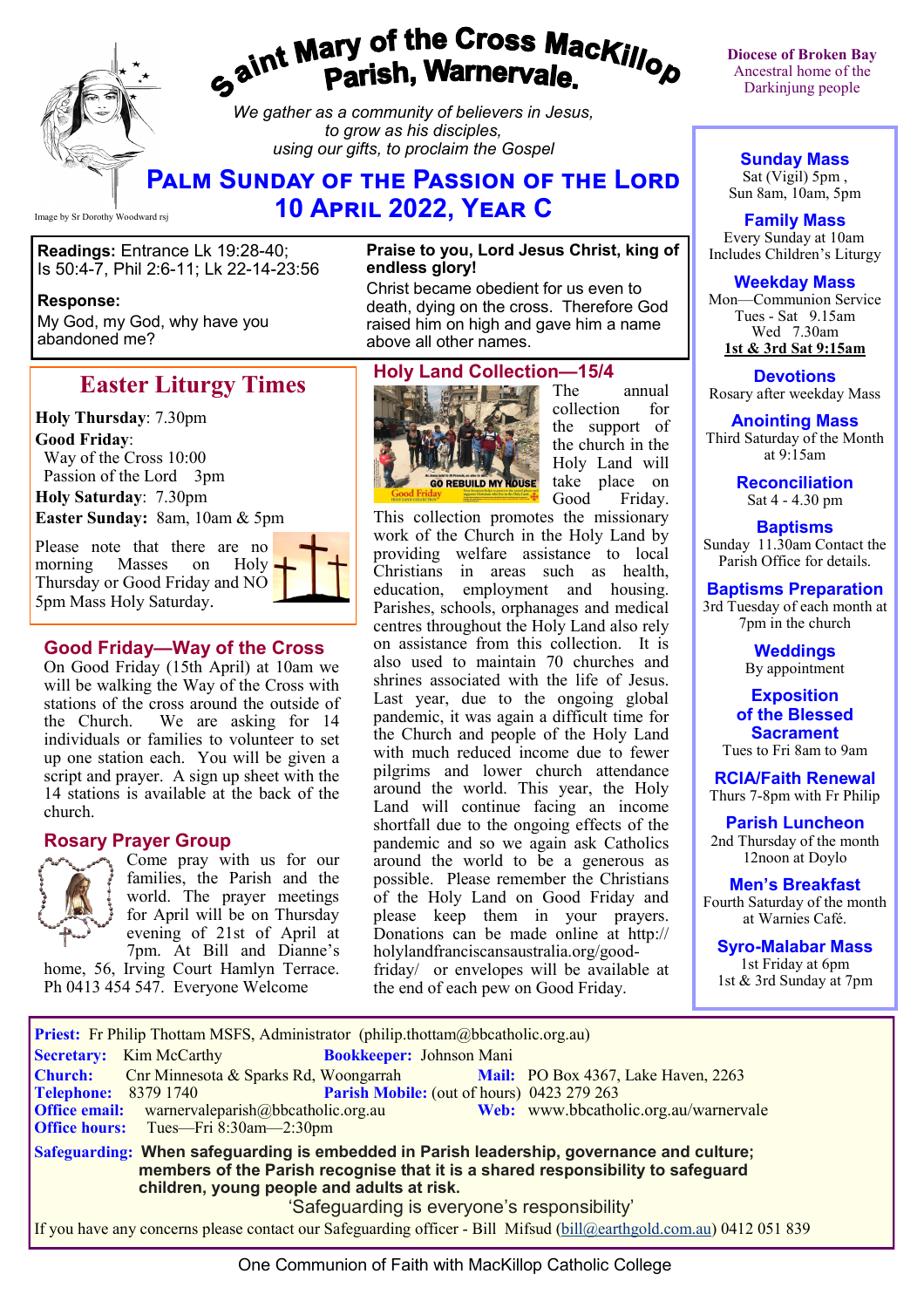# gaint Mary of the Cross Mackillop<br>gaint Parish, Warnervale.

*We gather as a community of believers in Jesus, to grow as his disciples, using our gifts, to proclaim the Gospel*

# **Palm Sunday of the Passion of the Lord 10 April 2022, Year C**

Image by Sr Dorothy Woodward rsj

**Readings:** Entrance Lk 19:28-40; Is 50:4-7, Phil 2:6-11; Lk 22-14-23:56

#### **Response:**

My God, my God, why have you abandoned me?

# **Easter Liturgy Times**

**Holy Thursday**: 7.30pm **Good Friday**:

 Way of the Cross 10:00 Passion of the Lord 3pm

**Holy Saturday**: 7.30pm **Easter Sunday:** 8am, 10am & 5pm

Please note that there are no morning Masses on Holy Thursday or Good Friday and NO 5pm Mass Holy Saturday.



#### **Good Friday—Way of the Cross**

On Good Friday (15th April) at 10am we will be walking the Way of the Cross with stations of the cross around the outside of<br>the Church. We are asking for 14 We are asking for 14 individuals or families to volunteer to set up one station each. You will be given a script and prayer. A sign up sheet with the 14 stations is available at the back of the church.

#### **Rosary Prayer Group**



Come pray with us for our families, the Parish and the world. The prayer meetings for April will be on Thursday evening of 21st of April at 7pm. At Bill and Dianne's

home, 56, Irving Court Hamlyn Terrace. Ph 0413 454 547. Everyone Welcome

#### **Praise to you, Lord Jesus Christ, king of endless glory!**

Christ became obedient for us even to death, dying on the cross. Therefore God raised him on high and gave him a name above all other names.

#### **Holy Land Collection—15/4**



The annual collection for the support of the church in the Holy Land will take place on<br>Good Friday. Friday.

This collection promotes the missionary work of the Church in the Holy Land by providing welfare assistance to local Christians in areas such as health, education, employment and housing. Parishes, schools, orphanages and medical centres throughout the Holy Land also rely on assistance from this collection. It is also used to maintain 70 churches and shrines associated with the life of Jesus. Last year, due to the ongoing global pandemic, it was again a difficult time for the Church and people of the Holy Land with much reduced income due to fewer pilgrims and lower church attendance around the world. This year, the Holy Land will continue facing an income shortfall due to the ongoing effects of the pandemic and so we again ask Catholics around the world to be a generous as possible. Please remember the Christians of the Holy Land on Good Friday and please keep them in your prayers. Donations can be made online at http:// holylandfranciscansaustralia.org/goodfriday/ or envelopes will be available at the end of each pew on Good Friday.

**Diocese of Broken Bay**  Ancestral home of the Darkinjung people

**Sunday Mass** Sat (Vigil) 5pm ,

Sun 8am, 10am, 5pm

**Family Mass**  Every Sunday at 10am Includes Children's Liturgy

#### **Weekday Mass**

Mon—Communion Service Tues - Sat 9.15am Wed 7.30am **1st & 3rd Sat 9:15am**

**Devotions** Rosary after weekday Mass

#### **Anointing Mass**

Third Saturday of the Month at 9:15am

> **Reconciliation** Sat 4 - 4.30 pm

#### **Baptisms**

Sunday 11.30am Contact the Parish Office for details.

**Baptisms Preparation** 3rd Tuesday of each month at 7pm in the church

> **Weddings**  By appointment

**Exposition of the Blessed Sacrament**

Tues to Fri 8am to 9am

**RCIA/Faith Renewal**  Thurs 7-8pm with Fr Philip

**Parish Luncheon** 2nd Thursday of the month 12noon at Doylo

**Men's Breakfast** Fourth Saturday of the month at Warnies Café.

**Syro-Malabar Mass** 1st Friday at 6pm 1st & 3rd Sunday at 7pm

| <b>Priest:</b> Fr Philip Thottam MSFS, Administrator (philip.thottam@bbcatholic.org.au)                                                                                                                                    |
|----------------------------------------------------------------------------------------------------------------------------------------------------------------------------------------------------------------------------|
| <b>Bookkeeper: Johnson Mani</b><br><b>Secretary:</b> Kim McCarthy                                                                                                                                                          |
| <b>Church:</b><br>Cnr Minnesota & Sparks Rd, Woongarrah<br><b>Mail:</b> PO Box 4367, Lake Haven, 2263                                                                                                                      |
| Parish Mobile: (out of hours) 0423 279 263<br><b>Telephone: 8379 1740</b>                                                                                                                                                  |
| Web: www.bbcatholic.org.au/warnervale<br><b>Office email:</b> warnervaleparish $@$ bbcatholic.org.au                                                                                                                       |
| <b>Office hours:</b> Tues—Fri 8:30am—2:30pm                                                                                                                                                                                |
| Safeguarding: When safeguarding is embedded in Parish leadership, governance and culture;<br>members of the Parish recognise that it is a shared responsibility to safeguard<br>children, young people and adults at risk. |
| 'Safeguarding is everyone's responsibility'                                                                                                                                                                                |
| If you have any concerns please contact our Safeguarding officer - Bill Mifsud (bill@earthgold.com.au) 0412 051 839                                                                                                        |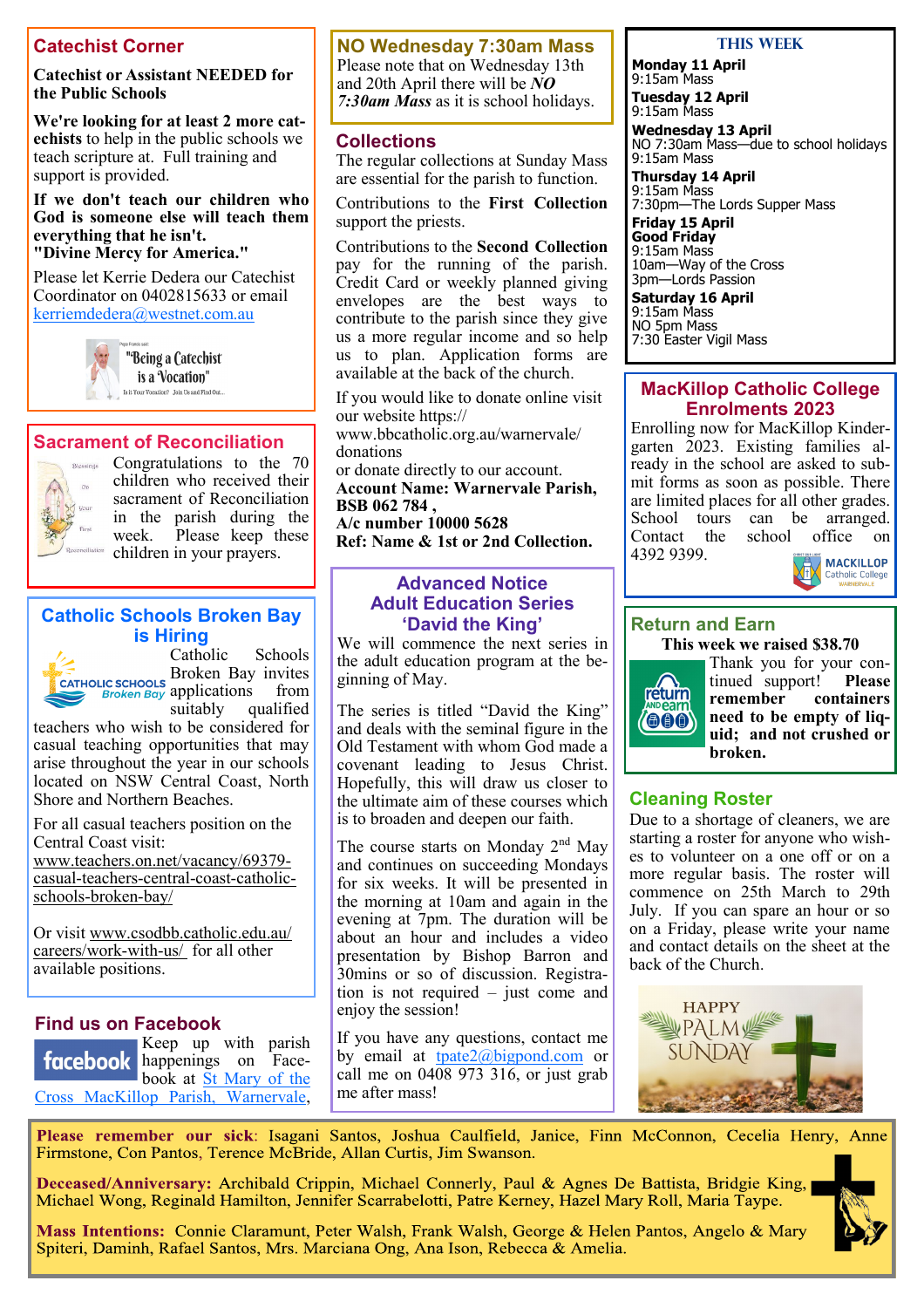## **Catechist Corner**

#### **Catechist or Assistant NEEDED for the Public Schools**

**We're looking for at least 2 more catechists** to help in the public schools we teach scripture at. Full training and support is provided.

**If we don't teach our children who God is someone else will teach them everything that he isn't. "Divine Mercy for America."**

Please let Kerrie Dedera our Catechist Coordinator on 0402815633 or email [kerriemdedera@westnet.com.au](mailto:kerriemdedera@westnet.com.au)



"Being a Catechist is a Vocation" Is it Your Vocation? Join Us and Find Out...

#### **Sacrament of Reconciliation**



Congratulations to the 70 children who received their sacrament of Reconciliation in the parish during the Please keep these children in your prayers.

#### **Catholic Schools Broken Bay is Hiring**



Catholic Schools Broken Bay invites **EXECUTE DEPARTMENT CATHOLIC SCHOOLS**<br>*Broken Bay* applications from suitably qualified

teachers who wish to be considered for casual teaching opportunities that may arise throughout the year in our schools located on NSW Central Coast, North Shore and Northern Beaches.

For all casual teachers position on the Central Coast visit:

www.teachers.on.net/vacancy/69379 casual-teachers-central-coast-catholicschools-broken-bay/

Or visit www.csodbb.catholic.edu.au/ careers/work-with-us/ for all other available positions.

#### **Find us on Facebook**

Keep up with parish facebook happenings on Facebook at [St Mary of the](https://www.facebook.com/MacKillopParishWarnervale)  [Cross MacKillop Parish, Warnervale,](https://www.facebook.com/MacKillopParishWarnervale)  **NO Wednesday 7:30am Mass** Please note that on Wednesday 13th

and 20th April there will be *NO 7:30am Mass* as it is school holidays.

#### **Collections**

The regular collections at Sunday Mass are essential for the parish to function.

Contributions to the **First Collection**  support the priests.

Contributions to the **Second Collection**  pay for the running of the parish. Credit Card or weekly planned giving envelopes are the best ways to contribute to the parish since they give us a more regular income and so help us to plan. Application forms are available at the back of the church.

If you would like to donate online visit our website https:// www.bbcatholic.org.au/warnervale/ donations or donate directly to our account. **Account Name: Warnervale Parish, BSB 062 784 , A/c number 10000 5628**

**Ref: Name & 1st or 2nd Collection.**

#### **Advanced Notice Adult Education Series 'David the King'**

We will commence the next series in the adult education program at the beginning of May.

The series is titled "David the King" and deals with the seminal figure in the Old Testament with whom God made a covenant leading to Jesus Christ. Hopefully, this will draw us closer to the ultimate aim of these courses which is to broaden and deepen our faith.

The course starts on Monday  $2<sup>nd</sup>$  May and continues on succeeding Mondays for six weeks. It will be presented in the morning at 10am and again in the evening at 7pm. The duration will be about an hour and includes a video presentation by Bishop Barron and 30mins or so of discussion. Registration is not required – just come and enjoy the session!

If you have any questions, contact me by email at <u>[tpate2@bigpond.com](mailto:tpate2@bigpond.com)</u> or call me on 0408 973 316, or just grab me after mass!

#### **This Week**

**Monday 11 April** 9:15am Mass

**Tuesday 12 April** 9:15am Mass

**Wednesday 13 April** NO 7:30am Mass—due to school holidays 9:15am Mass

**Thursday 14 April**  9:15am Mass 7:30pm—The Lords Supper Mass

**Friday 15 April Good Friday** 9:15am Mass 10am—Way of the Cross 3pm—Lords Passion

**Saturday 16 April** 9:15am Mass NO 5pm Mass 7:30 Easter Vigil Mass

#### **MacKillop Catholic College Enrolments 2023**

Enrolling now for MacKillop Kindergarten 2023. Existing families already in the school are asked to submit forms as soon as possible. There are limited places for all other grades.<br>School tours can be arranged. can be arranged.<br>school office on Contact the school office on 4392 9399.



#### **Return and Earn**

**This week we raised \$38.70**



Thank you for your con-<br>tinued support! Please tinued support! **remember containers need to be empty of liquid; and not crushed or broken.** 

### **Cleaning Roster**

Due to a shortage of cleaners, we are starting a roster for anyone who wishes to volunteer on a one off or on a more regular basis. The roster will commence on 25th March to 29th July. If you can spare an hour or so on a Friday, please write your name and contact details on the sheet at the back of the Church.



Please remember our sick: Isagani Santos, Joshua Caulfield, Janice, Finn McConnon, Cecelia Henry, Anne Firmstone, Con Pantos, Terence McBride, Allan Curtis, Jim Swanson.

Deceased/Anniversary: Archibald Crippin, Michael Connerly, Paul & Agnes De Battista, Bridgie King, Michael Wong, Reginald Hamilton, Jennifer Scarrabelotti, Patre Kerney, Hazel Mary Roll, Maria Taype.

Mass Intentions: Connie Claramunt, Peter Walsh, Frank Walsh, George & Helen Pantos, Angelo & Mary Spiteri, Daminh, Rafael Santos, Mrs. Marciana Ong, Ana Ison, Rebecca & Amelia.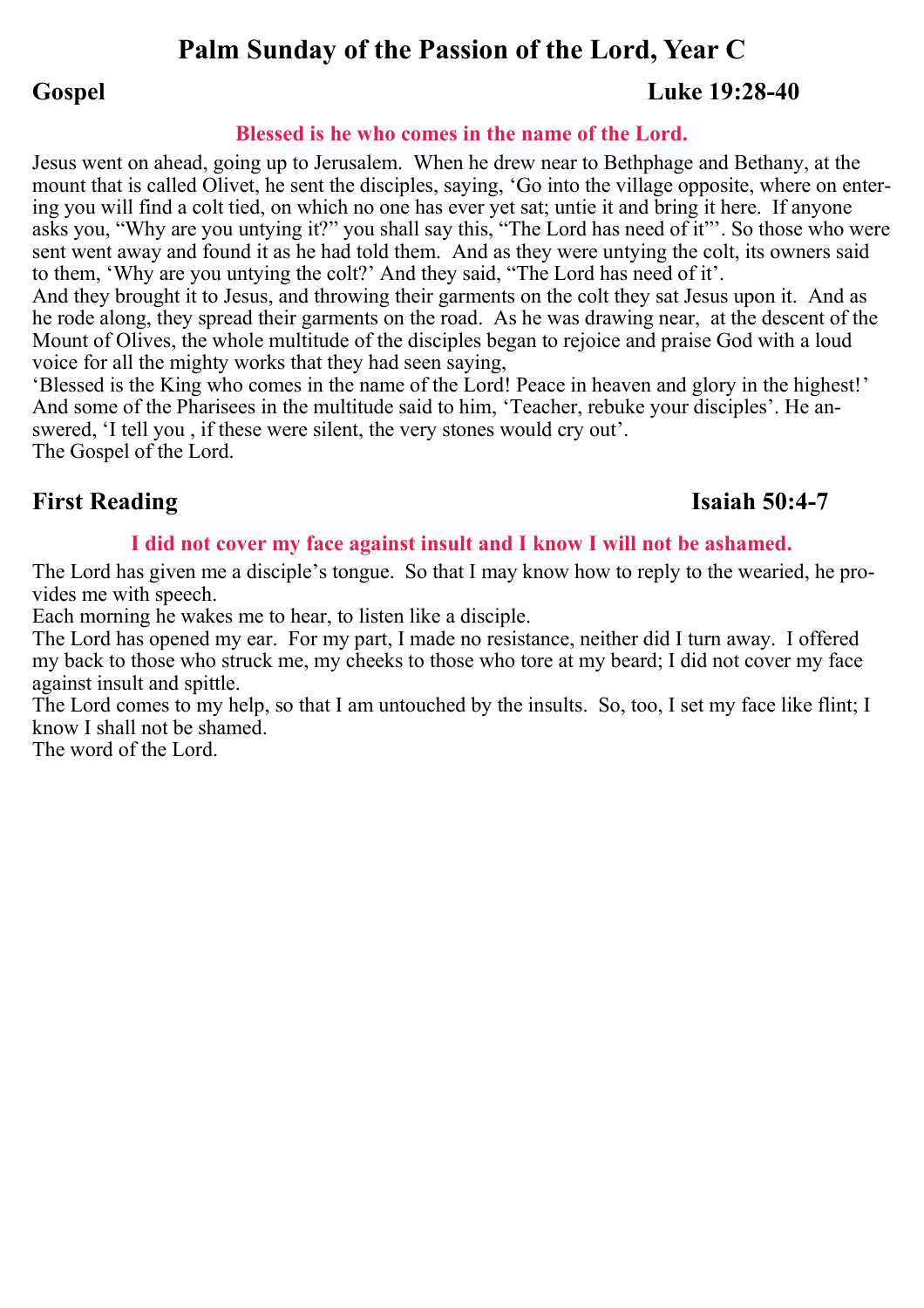# **Palm Sunday of the Passion of the Lord, Year C**

# **Gospel Luke 19:28-40**

## **Blessed is he who comes in the name of the Lord.**

Jesus went on ahead, going up to Jerusalem. When he drew near to Bethphage and Bethany, at the mount that is called Olivet, he sent the disciples, saying, 'Go into the village opposite, where on entering you will find a colt tied, on which no one has ever yet sat; untie it and bring it here. If anyone asks you, "Why are you untying it?" you shall say this, "The Lord has need of it"'. So those who were sent went away and found it as he had told them. And as they were untying the colt, its owners said to them, 'Why are you untying the colt?' And they said, "The Lord has need of it'.

And they brought it to Jesus, and throwing their garments on the colt they sat Jesus upon it. And as he rode along, they spread their garments on the road. As he was drawing near, at the descent of the Mount of Olives, the whole multitude of the disciples began to rejoice and praise God with a loud voice for all the mighty works that they had seen saying,

'Blessed is the King who comes in the name of the Lord! Peace in heaven and glory in the highest!' And some of the Pharisees in the multitude said to him, 'Teacher, rebuke your disciples'. He answered, 'I tell you , if these were silent, the very stones would cry out'.

The Gospel of the Lord.

# **First Reading Isaiah 50:4-7**

## **I did not cover my face against insult and I know I will not be ashamed.**

The Lord has given me a disciple's tongue. So that I may know how to reply to the wearied, he provides me with speech.

Each morning he wakes me to hear, to listen like a disciple.

The Lord has opened my ear. For my part, I made no resistance, neither did I turn away. I offered my back to those who struck me, my cheeks to those who tore at my beard; I did not cover my face against insult and spittle.

The Lord comes to my help, so that I am untouched by the insults. So, too, I set my face like flint; I know I shall not be shamed.

The word of the Lord.